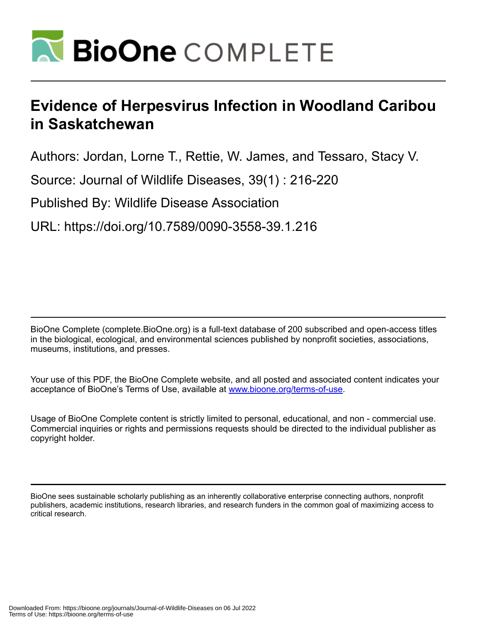

# **Evidence of Herpesvirus Infection in Woodland Caribou in Saskatchewan**

Authors: Jordan, Lorne T., Rettie, W. James, and Tessaro, Stacy V.

Source: Journal of Wildlife Diseases, 39(1) : 216-220

Published By: Wildlife Disease Association

URL: https://doi.org/10.7589/0090-3558-39.1.216

BioOne Complete (complete.BioOne.org) is a full-text database of 200 subscribed and open-access titles in the biological, ecological, and environmental sciences published by nonprofit societies, associations, museums, institutions, and presses.

Your use of this PDF, the BioOne Complete website, and all posted and associated content indicates your acceptance of BioOne's Terms of Use, available at www.bioone.org/terms-of-use.

Usage of BioOne Complete content is strictly limited to personal, educational, and non - commercial use. Commercial inquiries or rights and permissions requests should be directed to the individual publisher as copyright holder.

BioOne sees sustainable scholarly publishing as an inherently collaborative enterprise connecting authors, nonprofit publishers, academic institutions, research libraries, and research funders in the common goal of maximizing access to critical research.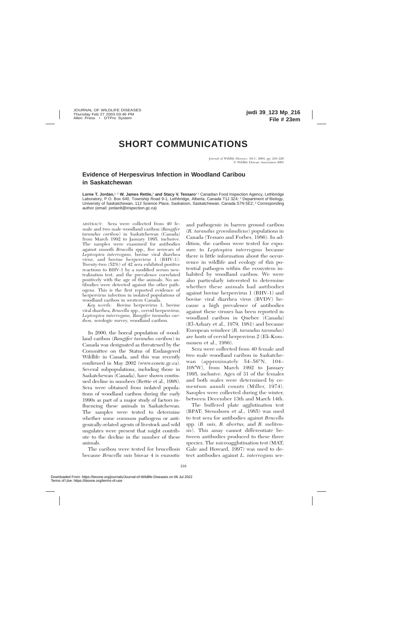## **SHORT COMMUNICATIONS**

### **Evidence of Herpesvirus Infection in Woodland Caribou in Saskatchewan**

Lorne T. Jordan,<sup>1, 3</sup> W. James Rettie,<sup>2</sup> and Stacy V. Tessaro<sup>11</sup> Canadian Food Inspection Agency, Lethbridge Laboratory, P.O. Box 640, Township Road 9-1, Lethbridge, Alberta, Canada T1J 3Z4; <sup>2</sup> Department of Biology, University of Saskatchewan, 112 Science Place, Saskatoon, Saskatchewan, Canada S7N 5E2; <sup>3</sup> Corresponding author (email: jordanlt@inspection.gc.ca)

ABSTRACT: Sera were collected from 40 female and two male woodland caribou (*Rangifer tarandus caribou*) in Saskatchewan (Canada) from March 1992 to January 1995, inclusive. The samples were examined for antibodies against smooth *Brucella* spp., five serovars of *Leptospira interrogans,* bovine viral diarrhea virus, and bovine herpesvirus 1 (BHV-1). Twenty-two (52%) of 42 sera exhibited positive reactions to BHV-1 by a modified serum neutralization test, and the prevalence correlated positively with the age of the animals. No antibodies were detected against the other pathogens. This is the first reported evidence of herpesvirus infection in isolated populations of woodland caribou in western Canada.

*Key words:* Bovine herpesvirus 1, bovine viral diarrhea, *Brucella* spp., cervid herpesvirus, *Leptospira interrogans, Rangifer tarandus caribou,* serologic survey, woodland caribou.

In 2000, the boreal population of woodland caribou (*Rangifer tarandus caribou*) in Canada was designated as threatened by the Committee on the Status of Endangered Wildlife in Canada, and this was recently confirmed in May 2002 (www.coseic.gc.ca). Several subpopulations, including those in Saskatchewan (Canada), have shown continued decline in numbers (Rettie et al., 1998). Sera were obtained from isolated populations of woodland caribou during the early 1990s as part of a major study of factors influencing these animals in Saskatchewan. The samples were tested to determine whether some common pathogens or antigenically-related agents of livestock and wild ungulates were present that might contribute to the decline in the number of these animals.

The caribou were tested for brucellosis because *Brucella suis* biovar 4 is enzootic and pathogenic in barren ground caribou (*R. tarandus groenlandicus*) populations in Canada (Tessaro and Forbes, 1986). In addition, the caribou were tested for exposure to *Leptospira interrogans* because there is little information about the occurrence in wildlife and ecology of this potential pathogen within the ecosystem inhabited by woodland caribou. We were also particularly interested to determine whether these animals had antibodies against bovine herpesvirus 1 (BHV-1) and bovine viral diarrhea virus (BVDV) because a high prevalence of antibodies against these viruses has been reported in woodland caribou in Quebec (Canada) (El-Azhary et al., 1979, 1981) and because European reindeer (*R. tarandus tarandus*) are hosts of cervid herpesvirus 2 (Ek-Kommonen et al., 1986).

Sera were collected from 40 female and two male woodland caribou in Saskatchewan (approximately  $54-56^{\circ}N$ ,  $104 108°W$ , from March 1992 to January 1995, inclusive. Ages of 31 of the females and both males were determined by cementum annuli counts (Miller, 1974). Samples were collected during the winter, between December 13th and March 14th.

The buffered plate agglutination test (BPAT; Stemshorn et al., 1985) was used to test sera for antibodies against *Brucella* spp. (*B. suis, B. abortus,* and *B. melitensis*). This assay cannot differentiate between antibodies produced to these three species. The microagglutination test (MAT; Gale and Howard, 1997) was used to detect antibodies against *L. interrogans* ser-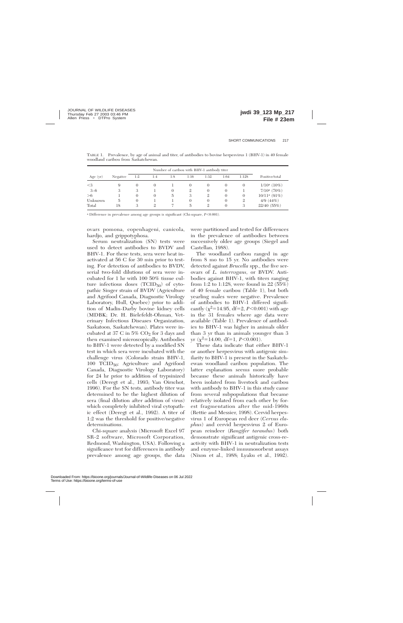| Number of caribou with BHV-1 antibody titer |          |               |          |          |                |                |          |          |                 |
|---------------------------------------------|----------|---------------|----------|----------|----------------|----------------|----------|----------|-----------------|
| Age (yr)                                    | Negative | 1:2           | 1:4      | 1:8      | 1:16           | 1:32           | 1:64     | 1:128    | Positive/total  |
| $<$ 3                                       | 9        | $\theta$      | $\Omega$ |          | $\theta$       | $\theta$       | O        | 0        | $1/10^a$ (10%)  |
| $3 - 6$                                     | 3        | 3             |          | $\Omega$ | $\mathfrak{2}$ | $\theta$       | 0        |          | $7/10^a$ (70%)  |
| >6                                          |          | $\theta$      | $\Omega$ | 5        | 3              | $\mathfrak{2}$ | $\theta$ | $\theta$ | $10/11^a (91%)$ |
| Unknown                                     | 5        | $\theta$      |          |          | $\Omega$       | $\theta$       | $\Omega$ | 2        | 4/9(44%)        |
| Total                                       | 18       | $\mathcal{S}$ |          |          | 5              | $\mathfrak{2}$ | $\Omega$ | 3        | 22/40 (55%)     |

TABLE 1. Prevalence, by age of animal and titer, of antibodies to bovine herpesvirus 1 (BHV-1) in 40 female woodland caribou from Saskatchewan.

<sup>a</sup> Difference in prevalence among age groups is significant (Chi-square,  $P<0.001$ ).

ovars pomona, copenhageni, canicola, hardjo, and grippotyphosa.

Serum neutralization (SN) tests were used to detect antibodies to BVDV and BHV-1. For these tests, sera were heat inactivated at 56 C for 30 min prior to testing. For detection of antibodies to BVDV, serial two-fold dilutions of sera were incubated for 1 hr with 100 50% tissue culture infectious doses  $(TCID_{50})$  of cytopathic Singer strain of BVDV (Agriculture and Agrifood Canada, Diagnostic Virology Laboratory, Hull, Quebec) prior to addition of Madin-Darby bovine kidney cells (MDBK; Dr. H. Bielefeldt-Ohman, Veterinary Infectious Diseases Organization, Saskatoon, Saskatchewan). Plates were incubated at 37 C in  $5\%$  CO<sub>2</sub> for 3 days and then examined microscopically. Antibodies to BHV-1 were detected by a modified SN test in which sera were incubated with the challenge virus (Colorado strain BHV-1, 100 TCID50; Agriculture and Agrifood Canada, Diagnostic Virology Laboratory) for 24 hr prior to addition of trypsinized cells (Deregt et al., 1993; Van Oirschot, 1996). For the SN tests, antibody titer was determined to be the highest dilution of sera (final dilution after addition of virus) which completely inhibited viral cytopathic effect (Deregt et al., 1992). A titer of 1:2 was the threshold for positive/negative determinations.

Chi-square analysis (Microsoft Excel 97 SR-2 software, Microsoft Corporation, Redmond, Washington, USA). Following a significance test for differences in antibody prevalence among age groups, the data were partitioned and tested for differences in the prevalence of antibodies between successively older age groups (Siegel and Castellan, 1988).

The woodland caribou ranged in age from 8 mo to 15 yr. No antibodies were detected against *Brucella* spp., the five serovars of *L. interrogans,* or BVDV. Antibodies against BHV-1, with titers ranging from 1:2 to 1:128, were found in 22 (55%) of 40 female caribou (Table 1), but both yearling males were negative. Prevalence of antibodies to BHV-1 differed significantly ( $\chi^2$ =14.95, df=2, *P*<0.001) with age in the 31 females where age data were available (Table 1). Prevalence of antibodies to BHV-1 was higher in animals older than 3 yr than in animals younger than 3 yr  $(\chi^2=14.00, df=1, P<0.001)$ .

These data indicate that either BHV-1 or another herpesvirus with antigenic similarity to BHV-1 is present in the Saskatchewan woodland caribou population. The latter explanation seems more probable because these animals historically have been isolated from livestock and caribou with antibody to BHV-1 in this study came from several subpopulations that became relatively isolated from each other by forest fragmentation after the mid-1960s (Rettie and Messier, 1998). Cervid herpesvirus 1 of European red deer (*Cervus elaphus*) and cervid herpesvirus 2 of European reindeer (*Rangifer tarandus*) both demonstrate significant antigenic cross-reactivity with BHV-1 in neutralization tests and enzyme-linked immunosorbent assays (Nixon et al., 1988; Lyaku et al., 1992).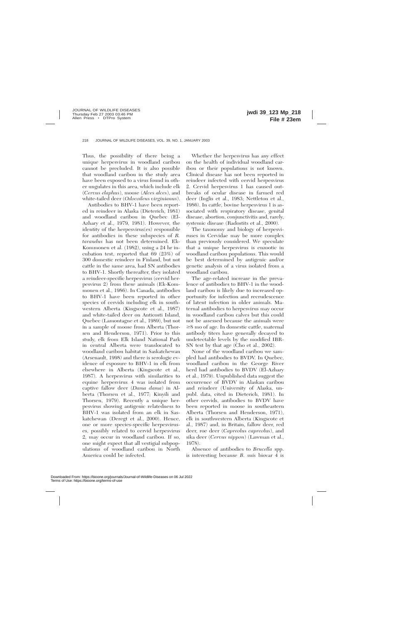Thus, the possibility of there being a unique herpesvirus in woodland caribou cannot be precluded. It is also possible that woodland caribou in the study area have been exposed to a virus found in other ungulates in this area, which include elk (*Cervus elaphus*), moose (*Alces alces*), and white-tailed deer (*Odocoileus virginianus*).

Antibodies to BHV-1 have been reported in reindeer in Alaska (Dieterich, 1981) and woodland caribou in Quebec (El-Azhary et al., 1979, 1981). However, the identity of the herpesvirus(es) responsible for antibodies in these subspecies of *R. tarandus* has not been determined. Ek-Kommonen et al. (1982), using a 24 hr incubation test, reported that 69 (23%) of 300 domestic reindeer in Finland, but not cattle in the same area, had SN antibodies to BHV-1. Shortly thereafter, they isolated a reindeer-specific herpesvirus (cervid herpesvirus 2) from these animals (Ek-Kommonen et al., 1986). In Canada, antibodies to BHV-1 have been reported in other species of cervids including elk in southwestern Alberta (Kingscote et al., 1987) and white-tailed deer on Anticosti Island, Quebec (Lamontagne et al., 1989), but not in a sample of moose from Alberta (Thorsen and Henderson, 1971). Prior to this study, elk from Elk Island National Park in central Alberta were translocated to woodland caribou habitat in Saskatchewan (Arsenault, 1998) and there is serologic evidence of exposure to BHV-1 in elk from elsewhere in Alberta (Kingscote et al., 1987). A herpesvirus with similarities to equine herpesvirus 4 was isolated from captive fallow deer (*Dama dama*) in Alberta (Thorsen et al., 1977; Kinyili and Thorsen, 1979). Recently a unique herpesvirus showing antigenic relatedness to BHV-1 was isolated from an elk in Saskatchewan (Deregt et al., 2000). Hence, one or more species-specific herpesviruses, possibly related to cervid herpesvirus 2, may occur in woodland caribou. If so, one might expect that all vestigial subpopulations of woodland caribou in North America could be infected.

Whether the herpesvirus has any effect on the health of individual woodland caribou or their populations is not known. Clinical disease has not been reported in reindeer infected with cervid herpesvirus 2. Cervid herpesvirus 1 has caused outbreaks of ocular disease in farmed red deer (Inglis et al., 1983; Nettleton et al., 1986). In cattle, bovine herpesvirus 1 is associated with respiratory disease, genital disease, abortion, conjunctivitis and, rarely, systemic disease (Radostits et al., 2000).

The taxonomy and biology of herpesviruses in Cervidae may be more complex than previously considered. We speculate that a unique herpesvirus is enzootic in woodland caribou populations. This would be best determined by antigenic and/or genetic analysis of a virus isolated from a woodland caribou.

The age-related increase in the prevalence of antibodies to BHV-1 in the woodland caribou is likely due to increased opportunity for infection and recrudescence of latent infection in older animals. Maternal antibodies to herpesvirus may occur in woodland caribou calves but this could not be assessed because the animals were  $\geq$ 8 mo of age. In domestic cattle, maternal antibody titers have generally decayed to undetectable levels by the modified IBR-SN test by that age (Cho et al., 2002).

None of the woodland caribou we sampled had antibodies to BVDV. In Quebec, woodland caribou in the George River herd had antibodies to BVDV (El-Azhary et al., 1979). Unpublished data suggest the occurrence of BVDV in Alaskan caribou and reindeer (University of Alaska, unpubl. data, cited in Dieterich, 1981). In other cervids, antibodies to BVDV have been reported in moose in southeastern Alberta (Thorsen and Henderson, 1971), elk in southwestern Alberta (Kingscote et al., 1987) and, in Britain, fallow deer, red deer, roe deer (*Capreolus capreolus*), and sika deer (*Cervus nippon*) (Lawman et al., 1978).

Absence of antibodies to *Brucella* spp. is interesting because *B. suis* biovar 4 is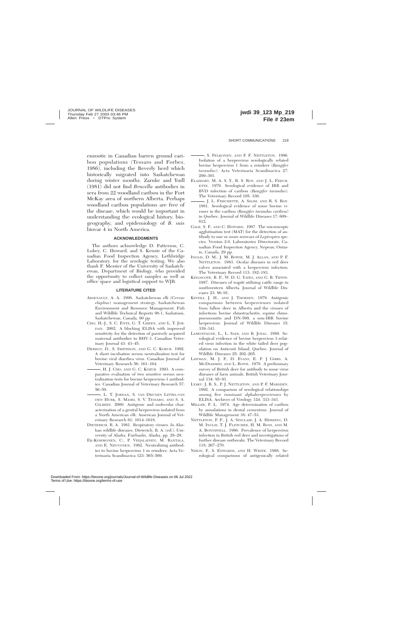enzootic in Canadian barren ground caribou populations (Tessaro and Forbes, 1986), including the Beverly herd which historically migrated into Saskatchewan during winter months. Zarnke and Yuill (1981) did not find *Brucella* antibodies in sera from 22 woodland caribou in the Fort McKay area of northern Alberta. Perhaps woodland caribou populations are free of the disease, which would be important in understanding the ecological history, biogeography, and epidemiology of *B. suis* biovar 4 in North America.

### **ACKNOWLEDGMENTS**

The authors acknowledge D. Patterson, C. Lukey, C. Howard, and S. Kenzie of the Canadian Food Inspection Agency, Lethbridge Laboratory, for the serologic testing. We also thank F. Messier of the University of Saskatchewan, Department of Biology, who provided the opportunity to collect samples as well as office space and logistical support to WJR.

#### **LITERATURE CITED**

- ARSENAULT, A. A. 1998. Saskatchewan elk (*Cervus elaphus*) management strategy. Saskatchewan Environment and Resource Management, Fish and Wildlife Technical Reports 98-1, Saskatoon, Saskatchewan, Canada, 90 pp.
- CHO, H.-J., S. C. ENTZ, G. T. GREEN, AND L. T. JOR-DAN. 2002. A blocking ELISA with improved sensitivity for the detection of passively acquired maternal antibodies to BHV-1. Canadian Veterinary Journal 43: 43–45.
- DEREGT, D., S. SMITHSON, AND G. C. KOZUB. 1992. A short incubation serum neutralization test for bovine viral diarrhea virus. Canadian Journal of Veterinary Research 56: 161–164.
- , H. J. CHO, AND G. C. KOZUB. 1993. A comparative evaluation of two sensitive serum neutralization tests for bovine herpesvirus-1 antibodies. Canadian Journal of Veterinary Research 57: 56–59.
- , L. T. JORDAN, S. VAN DRUNEN LITTEL-VAN DEN HURK, S. MASRI, S. V. TESSARO, AND S. A. GILBERT. 2000. Antigenic and molecular characterization of a genital herpesvirus isolated from a North American elk. American Journal of Veterinary Research 61: 1614–1618.
- DIETERICH, R. A. 1981. Respiratory viruses. *In* Alaskan wildlife diseases, Dieterich, R. A. (ed.). University of Alaska, Fairbanks, Alaska, pp. 28–29.
- EK-KOMMONEN, C., P. VEIJALAINEN, M. RANTALA, AND E. NEUVONEN. 1982. Neutralizing antibodies to bovine herpesvirus 1 in reindeer. Acta Veterinaria Scandinavica 123: 565–569.

, S. PELKONEN, AND P. F. NETTLETON. 1986. Isolation of a herpesvirus serologically related bovine herpesvirus 1 from a reindeer (*Rangifer tarandus*). Acta Veterinaria Scandinavica 27: 299–301.

- ELAZHARY, M. A. S. Y., R. S. ROY, AND J. L. FRECH-ETTE. 1979. Serological evidence of IBR and BVD infection of caribou (*Rangifer tarandus*). The Veterinary Record 105: 336.
- , J. L. FRECHETTE, A. SILIM, AND R. S. ROY. 1981. Serological evidence of some bovine viruses in the caribou (*Rangifer tarandus caribou*) in Quebec. Journal of Wildlife Diseases 17: 609– 612.
- GALE, S. P., AND C. HOWARD. 1997. The microscopic agglutination test (MAT) for the detection of antibody to one or more serovars of *Leptospira* species. Version 2.0, Laboratories Directorate, Canadian Food Inspection Agency, Nepean, Ontario, Canada, 29 pp.
- INGLIS, D. M., J. M. BOWIE, M. J. ALLAN, AND P. F. NETTLETON. 1983. Ocular diseases in red deer calves associated with a herpesvirus infection. The Veterinary Record 113: 182–183.
- KINGSCOTE, B. F., W. D. G. YATES, AND G. B. TIFFIN. 1987. Diseases of wapiti utilizing cattle range in southwestern Alberta. Journal of Wildlife Diseases 23: 86–91.
- KINYILI, J. H., AND J. THORSEN. 1979. Antigenic comparisons between herpesviruses isolated from fallow deer in Alberta and the viruses of infectious bovine rhinotracheitis, equine rhinopneumonitis and DN-599, a non-IBR bovine herpesvirus. Journal of Wildlife Diseases 15: 339–341.
- LAMONTAGNE, L., L. SADI, AND R. JOYAL. 1989. Serological evidence of bovine herpesvirus 1-related virus infection in the white tailed deer population on Anticosti Island, Quebec. Journal of Wildlife Diseases 25: 202–205.
- LAWMAN, M. J. P., D. EVANS, E. P. J GIBBS, A. MCDIARMID, AND L. ROWE. 1978. A preliminary survey of British deer for antibody to some virus diseases of farm animals. British Veterinary Journal 134: 85–91.
- LYAKU, J. R. S., P. J. NETTLETON, AND P. F. MARSDEN. 1992. A comparison of serological relationships among five ruminant alphaherpesviruses by ELISA. Archives of Virology 124: 333–341.
- MILLER, F. L. 1974. Age determination of caribou by annulations in dental cementum. Journal of Wildlife Management 38: 47–53.
- NETTLETON, P. F., J. A. SINCLAIR, J. A. HERRING, D. M. INGLIS, T. J. FLETCHER, H. M. ROSS, AND M. A. BONNIWELL. 1986. Prevalence of herpesvirus infection in British red deer and investigations of further disease outbreaks. The Veterinary Record 118: 267–270.
- NIXON, P., S. EDWARDS, AND H. WHITE. 1988. Serological comparisons of antigenically related